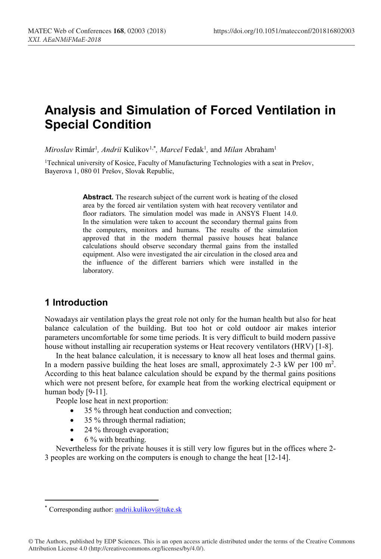# **Analysis and Simulation of Forced Ventilation in Special Condition**

 $Miroslav Rimár<sup>1</sup>, *Andrii* Kulikov<sup>1,*</sup>, *Marcel* Fedak<sup>1</sup>, and *Milan* Abraham<sup>1</sup>$ 

<sup>1</sup>Technical university of Kosice, Faculty of Manufacturing Technologies with a seat in Prešov, Bayerova 1, 080 01 Prešov, Slovak Republic,

> **Abstract.** The research subject of the current work is heating of the closed area by the forced air ventilation system with heat recovery ventilator and floor radiators. The simulation model was made in ANSYS Fluent 14.0. In the simulation were taken to account the secondary thermal gains from the computers, monitors and humans. The results of the simulation approved that in the modern thermal passive houses heat balance calculations should observe secondary thermal gains from the installed equipment. Also were investigated the air circulation in the closed area and the influence of the different barriers which were installed in the laboratory.

# **1 Introduction**

Nowadays air ventilation plays the great role not only for the human health but also for heat balance calculation of the building. But too hot or cold outdoor air makes interior parameters uncomfortable for some time periods. It is very difficult to build modern passive house without installing air recuperation systems or Heat recovery ventilators (HRV) [1-8].

In the heat balance calculation, it is necessary to know all heat loses and thermal gains. In a modern passive building the heat loses are small, approximately 2-3 kW per  $100 \text{ m}^2$ . According to this heat balance calculation should be expand by the thermal gains positions which were not present before, for example heat from the working electrical equipment or human body [9-11].

People lose heat in next proportion:

- 35 % through heat conduction and convection;
- 35 % through thermal radiation;
- 24 % through evaporation;
- 6 % with breathing.

Nevertheless for the private houses it is still very low figures but in the offices where 2- 3 peoples are working on the computers is enough to change the heat [12-14].

<sup>\*</sup> Corresponding author: andrii.kulikov@tuke.sk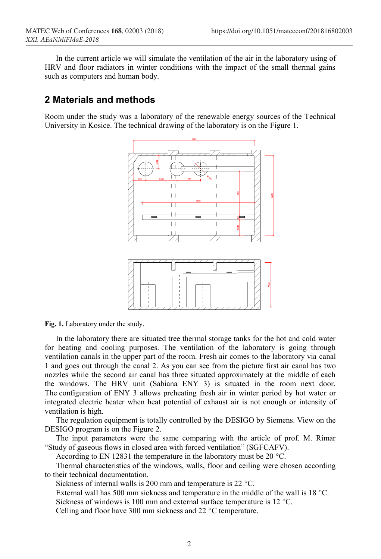In the current article we will simulate the ventilation of the air in the laboratory using of HRV and floor radiators in winter conditions with the impact of the small thermal gains such as computers and human body.

### **2 Materials and methods**

Room under the study was a laboratory of the renewable energy sources of the Technical University in Kosice. The technical drawing of the laboratory is on the Figure 1.



**Fig. 1.** Laboratory under the study.

In the laboratory there are situated tree thermal storage tanks for the hot and cold water for heating and cooling purposes. The ventilation of the laboratory is going through ventilation canals in the upper part of the room. Fresh air comes to the laboratory via canal 1 and goes out through the canal 2. As you can see from the picture first air canal has two nozzles while the second air canal has three situated approximately at the middle of each the windows. The HRV unit (Sabiana ENY 3) is situated in the room next door. The configuration of ENY 3 allows preheating fresh air in winter period by hot water or integrated electric heater when heat potential of exhaust air is not enough or intensity of ventilation is high.

The regulation equipment is totally controlled by the DESIGO by Siemens. View on the DESIGO program is on the Figure 2.

The input parameters were the same comparing with the article of prof. M. Rimar "Study of gaseous flows in closed area with forced ventilation" (SGFCAFV).

According to EN 12831 the temperature in the laboratory must be 20 °C.

Thermal characteristics of the windows, walls, floor and ceiling were chosen according to their technical documentation.

Sickness of internal walls is 200 mm and temperature is 22 °C.

External wall has 500 mm sickness and temperature in the middle of the wall is 18 °C.

Sickness of windows is 100 mm and external surface temperature is 12 °C.

Celling and floor have 300 mm sickness and 22 °C temperature.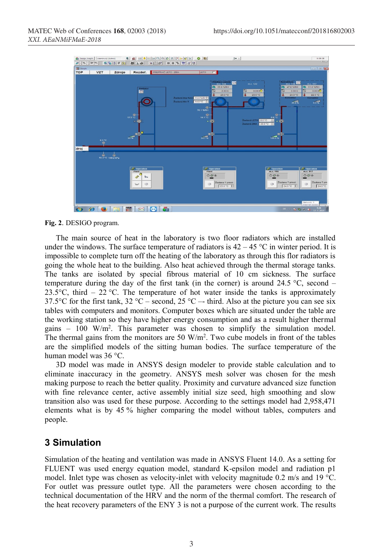

**Fig. 2**. DESIGO program.

The main source of heat in the laboratory is two floor radiators which are installed under the windows. The surface temperature of radiators is  $42 - 45$  °C in winter period. It is impossible to complete turn off the heating of the laboratory as through this flor radiators is going the whole heat to the building. Also heat achieved through the thermal storage tanks. The tanks are isolated by special fibrous material of 10 cm sickness. The surface temperature during the day of the first tank (in the corner) is around 24.5 °C, second – 23.5 $\degree$ C, third – 22 $\degree$ C. The temperature of hot water inside the tanks is approximately 37.5°C for the first tank, 32 °C – second, 25 °C –- third. Also at the picture you can see six tables with computers and monitors. Computer boxes which are situated under the table are the working station so they have higher energy consumption and as a result higher thermal gains  $-100 \ \text{W/m}^2$ . This parameter was chosen to simplify the simulation model. The thermal gains from the monitors are  $50 \text{ W/m}^2$ . Two cube models in front of the tables are the simplified models of the sitting human bodies. The surface temperature of the human model was 36 °C.

3D model was made in ANSYS design modeler to provide stable calculation and to eliminate inaccuracy in the geometry. ANSYS mesh solver was chosen for the mesh making purpose to reach the better quality. Proximity and curvature advanced size function with fine relevance center, active assembly initial size seed, high smoothing and slow transition also was used for these purpose. According to the settings model had 2,958,471 elements what is by 45 % higher comparing the model without tables, computers and people.

# **3 Simulation**

Simulation of the heating and ventilation was made in ANSYS Fluent 14.0. As a setting for FLUENT was used energy equation model, standard K-epsilon model and radiation p1 model. Inlet type was chosen as velocity-inlet with velocity magnitude 0.2 m/s and 19 °C. For outlet was pressure outlet type. All the parameters were chosen according to the technical documentation of the HRV and the norm of the thermal comfort. The research of the heat recovery parameters of the ENY 3 is not a purpose of the current work. The results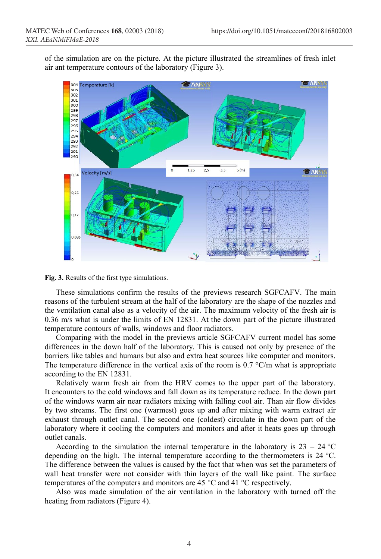of the simulation are on the picture. At the picture illustrated the streamlines of fresh inlet air ant temperature contours of the laboratory (Figure 3).



**Fig. 3.** Results of the first type simulations.

These simulations confirm the results of the previews research SGFCAFV. The main reasons of the turbulent stream at the half of the laboratory are the shape of the nozzles and the ventilation canal also as a velocity of the air. The maximum velocity of the fresh air is 0.36 m/s what is under the limits of EN 12831. At the down part of the picture illustrated temperature contours of walls, windows and floor radiators.

Comparing with the model in the previews article SGFCAFV current model has some differences in the down half of the laboratory. This is caused not only by presence of the barriers like tables and humans but also and extra heat sources like computer and monitors. The temperature difference in the vertical axis of the room is  $0.7 \degree C/m$  what is appropriate according to the EN 12831.

Relatively warm fresh air from the HRV comes to the upper part of the laboratory. It encounters to the cold windows and fall down as its temperature reduce. In the down part of the windows warm air near radiators mixing with falling cool air. Than air flow divides by two streams. The first one (warmest) goes up and after mixing with warm extract air exhaust through outlet canal. The second one (coldest) circulate in the down part of the laboratory where it cooling the computers and monitors and after it heats goes up through outlet canals.

According to the simulation the internal temperature in the laboratory is  $23 - 24$  °C depending on the high. The internal temperature according to the thermometers is 24 °C. The difference between the values is caused by the fact that when was set the parameters of wall heat transfer were not consider with thin layers of the wall like paint. The surface temperatures of the computers and monitors are 45 °C and 41 °C respectively.

Also was made simulation of the air ventilation in the laboratory with turned off the heating from radiators (Figure 4).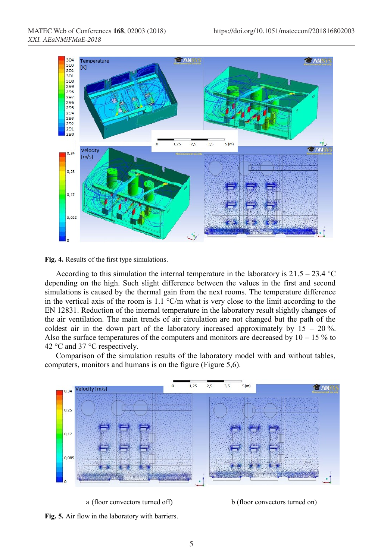

#### **Fig. 4.** Results of the first type simulations.

According to this simulation the internal temperature in the laboratory is  $21.5 - 23.4$  °C depending on the high. Such slight difference between the values in the first and second simulations is caused by the thermal gain from the next rooms. The temperature difference in the vertical axis of the room is 1.1  $\degree$ C/m what is very close to the limit according to the EN 12831. Reduction of the internal temperature in the laboratory result slightly changes of the air ventilation. The main trends of air circulation are not changed but the path of the coldest air in the down part of the laboratory increased approximately by  $15 - 20\%$ . Also the surface temperatures of the computers and monitors are decreased by  $10 - 15$  % to 42 °C and 37 °C respectively.

Comparison of the simulation results of the laboratory model with and without tables, computers, monitors and humans is on the figure (Figure 5,6).





**Fig. 5.** Air flow in the laboratory with barriers.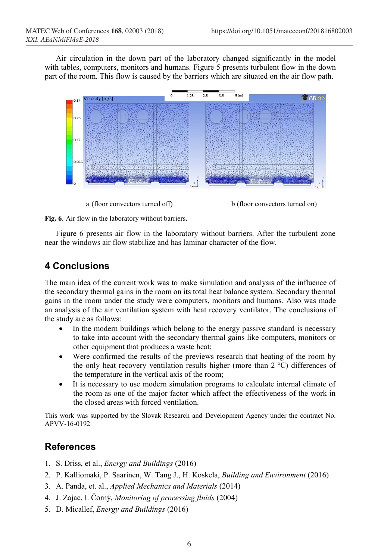Air circulation in the down part of the laboratory changed significantly in the model with tables, computers, monitors and humans. Figure 5 presents turbulent flow in the down part of the room. This flow is caused by the barriers which are situated on the air flow path.









Figure 6 presents air flow in the laboratory without barriers. After the turbulent zone near the windows air flow stabilize and has laminar character of the flow.

#### **4 Conclusions**

The main idea of the current work was to make simulation and analysis of the influence of the secondary thermal gains in the room on its total heat balance system. Secondary thermal gains in the room under the study were computers, monitors and humans. Also was made an analysis of the air ventilation system with heat recovery ventilator. The conclusions of the study are as follows:

- In the modern buildings which belong to the energy passive standard is necessary to take into account with the secondary thermal gains like computers, monitors or other equipment that produces a waste heat;
- Were confirmed the results of the previews research that heating of the room by the only heat recovery ventilation results higher (more than 2 °C) differences of the temperature in the vertical axis of the room;
- It is necessary to use modern simulation programs to calculate internal climate of the room as one of the major factor which affect the effectiveness of the work in the closed areas with forced ventilation.

This work was supported by the Slovak Research and Development Agency under the contract No. APVV-16-0192

#### **References**

- 1. S. Driss, et al., *Energy and Buildings* (2016)
- 2. P. Kalliomaki, P. Saarinen, W. Tang J., H. Koskela, *Building and Environment* (2016)
- 3. A. Panda, et. al., *Applied Mechanics and Materials* (2014)
- 4. J. Zajac, I. Čorný, *Monitoring of processing fluids* (2004)
- 5. D. Micallef, *Energy and Buildings* (2016)